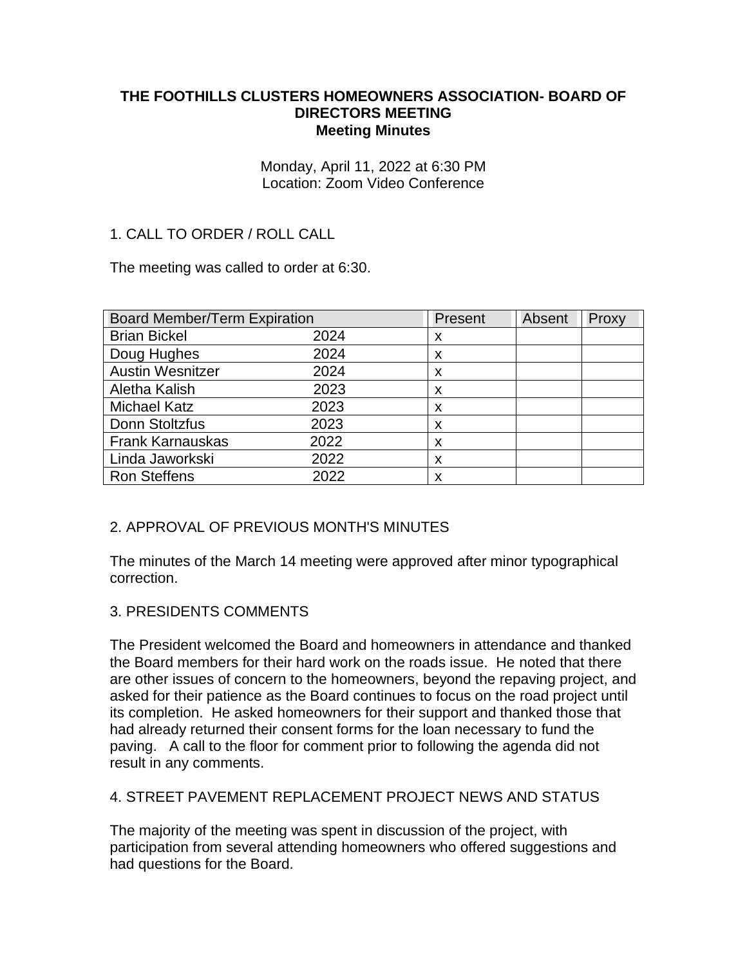#### **THE FOOTHILLS CLUSTERS HOMEOWNERS ASSOCIATION- BOARD OF DIRECTORS MEETING Meeting Minutes**

Monday, April 11, 2022 at 6:30 PM Location: Zoom Video Conference

# 1. CALL TO ORDER / ROLL CALL

The meeting was called to order at 6:30.

| <b>Board Member/Term Expiration</b> |      | Present | Absent | Proxy |
|-------------------------------------|------|---------|--------|-------|
| <b>Brian Bickel</b>                 | 2024 | x       |        |       |
| Doug Hughes                         | 2024 | X       |        |       |
| <b>Austin Wesnitzer</b>             | 2024 | X       |        |       |
| Aletha Kalish                       | 2023 | X       |        |       |
| <b>Michael Katz</b>                 | 2023 | X       |        |       |
| Donn Stoltzfus                      | 2023 | X       |        |       |
| <b>Frank Karnauskas</b>             | 2022 | X       |        |       |
| Linda Jaworkski                     | 2022 | X       |        |       |
| <b>Ron Steffens</b>                 | 2022 | X       |        |       |

### 2. APPROVAL OF PREVIOUS MONTH'S MINUTES

The minutes of the March 14 meeting were approved after minor typographical correction.

### 3. PRESIDENTS COMMENTS

The President welcomed the Board and homeowners in attendance and thanked the Board members for their hard work on the roads issue. He noted that there are other issues of concern to the homeowners, beyond the repaving project, and asked for their patience as the Board continues to focus on the road project until its completion. He asked homeowners for their support and thanked those that had already returned their consent forms for the loan necessary to fund the paving. A call to the floor for comment prior to following the agenda did not result in any comments.

### 4. STREET PAVEMENT REPLACEMENT PROJECT NEWS AND STATUS

The majority of the meeting was spent in discussion of the project, with participation from several attending homeowners who offered suggestions and had questions for the Board.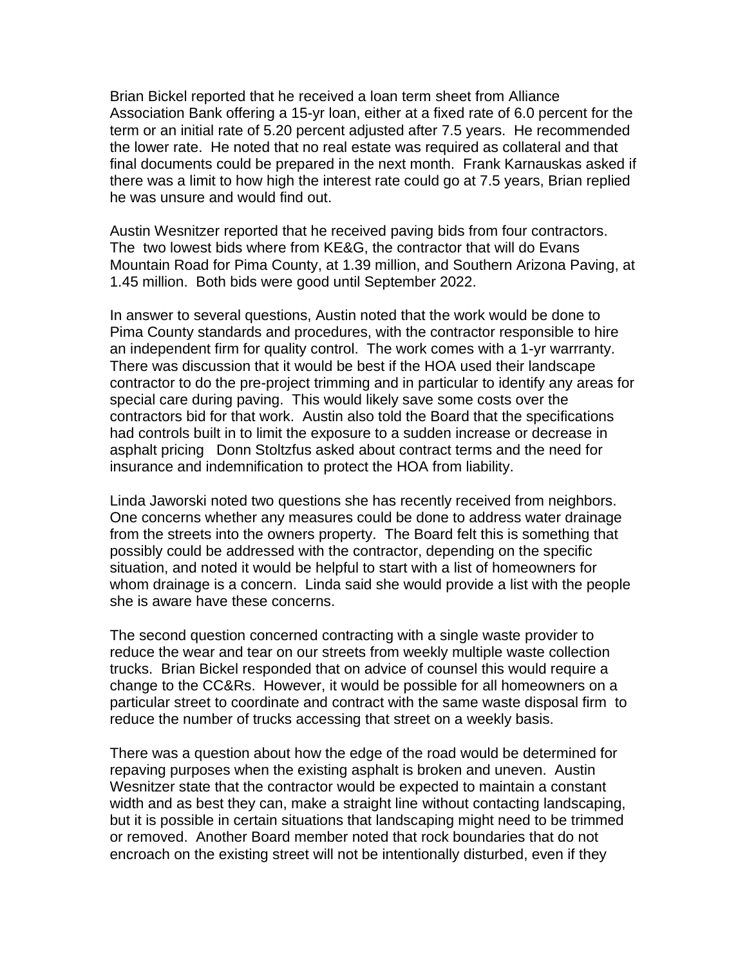Brian Bickel reported that he received a loan term sheet from Alliance Association Bank offering a 15-yr loan, either at a fixed rate of 6.0 percent for the term or an initial rate of 5.20 percent adjusted after 7.5 years. He recommended the lower rate. He noted that no real estate was required as collateral and that final documents could be prepared in the next month. Frank Karnauskas asked if there was a limit to how high the interest rate could go at 7.5 years, Brian replied he was unsure and would find out.

Austin Wesnitzer reported that he received paving bids from four contractors. The two lowest bids where from KE&G, the contractor that will do Evans Mountain Road for Pima County, at 1.39 million, and Southern Arizona Paving, at 1.45 million. Both bids were good until September 2022.

In answer to several questions, Austin noted that the work would be done to Pima County standards and procedures, with the contractor responsible to hire an independent firm for quality control. The work comes with a 1-yr warrranty. There was discussion that it would be best if the HOA used their landscape contractor to do the pre-project trimming and in particular to identify any areas for special care during paving. This would likely save some costs over the contractors bid for that work. Austin also told the Board that the specifications had controls built in to limit the exposure to a sudden increase or decrease in asphalt pricing Donn Stoltzfus asked about contract terms and the need for insurance and indemnification to protect the HOA from liability.

Linda Jaworski noted two questions she has recently received from neighbors. One concerns whether any measures could be done to address water drainage from the streets into the owners property. The Board felt this is something that possibly could be addressed with the contractor, depending on the specific situation, and noted it would be helpful to start with a list of homeowners for whom drainage is a concern. Linda said she would provide a list with the people she is aware have these concerns.

The second question concerned contracting with a single waste provider to reduce the wear and tear on our streets from weekly multiple waste collection trucks. Brian Bickel responded that on advice of counsel this would require a change to the CC&Rs. However, it would be possible for all homeowners on a particular street to coordinate and contract with the same waste disposal firm to reduce the number of trucks accessing that street on a weekly basis.

There was a question about how the edge of the road would be determined for repaving purposes when the existing asphalt is broken and uneven. Austin Wesnitzer state that the contractor would be expected to maintain a constant width and as best they can, make a straight line without contacting landscaping, but it is possible in certain situations that landscaping might need to be trimmed or removed. Another Board member noted that rock boundaries that do not encroach on the existing street will not be intentionally disturbed, even if they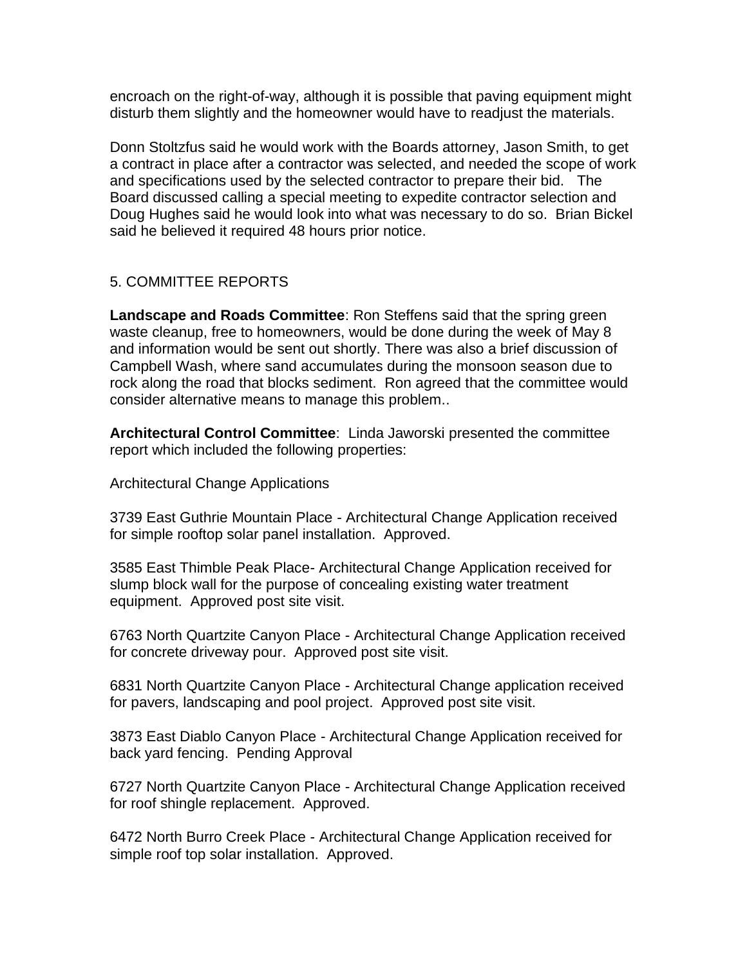encroach on the right-of-way, although it is possible that paving equipment might disturb them slightly and the homeowner would have to readjust the materials.

Donn Stoltzfus said he would work with the Boards attorney, Jason Smith, to get a contract in place after a contractor was selected, and needed the scope of work and specifications used by the selected contractor to prepare their bid. The Board discussed calling a special meeting to expedite contractor selection and Doug Hughes said he would look into what was necessary to do so. Brian Bickel said he believed it required 48 hours prior notice.

## 5. COMMITTEE REPORTS

**Landscape and Roads Committee**: Ron Steffens said that the spring green waste cleanup, free to homeowners, would be done during the week of May 8 and information would be sent out shortly. There was also a brief discussion of Campbell Wash, where sand accumulates during the monsoon season due to rock along the road that blocks sediment. Ron agreed that the committee would consider alternative means to manage this problem..

**Architectural Control Committee**: Linda Jaworski presented the committee report which included the following properties:

Architectural Change Applications

3739 East Guthrie Mountain Place - Architectural Change Application received for simple rooftop solar panel installation. Approved.

3585 East Thimble Peak Place- Architectural Change Application received for slump block wall for the purpose of concealing existing water treatment equipment. Approved post site visit.

6763 North Quartzite Canyon Place - Architectural Change Application received for concrete driveway pour. Approved post site visit.

6831 North Quartzite Canyon Place - Architectural Change application received for pavers, landscaping and pool project. Approved post site visit.

3873 East Diablo Canyon Place - Architectural Change Application received for back yard fencing. Pending Approval

6727 North Quartzite Canyon Place - Architectural Change Application received for roof shingle replacement. Approved.

6472 North Burro Creek Place - Architectural Change Application received for simple roof top solar installation. Approved.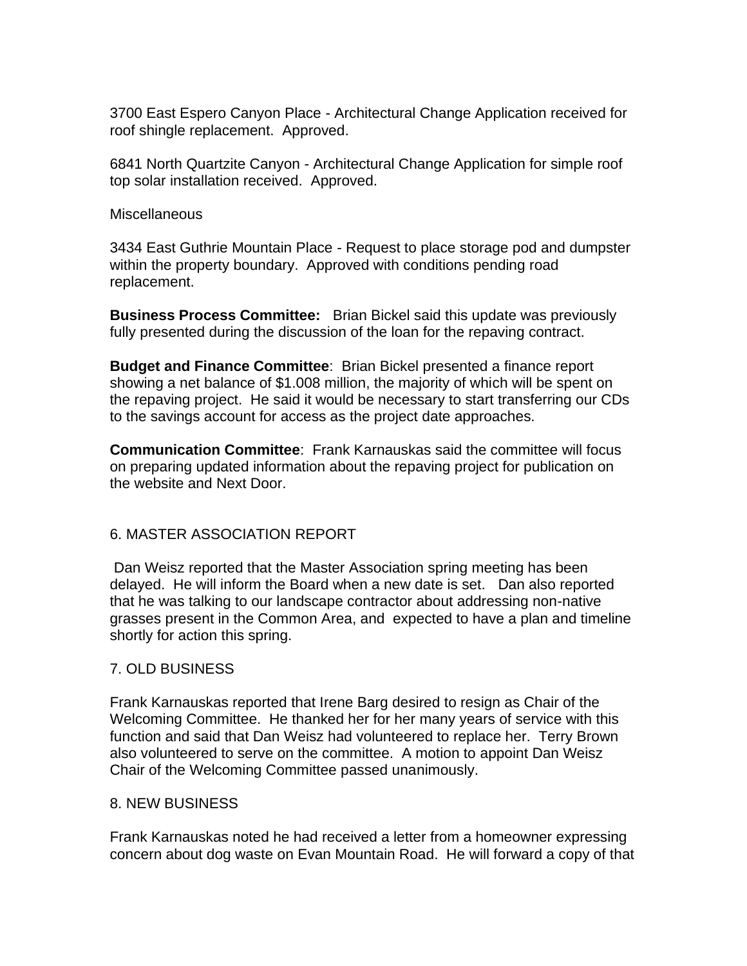3700 East Espero Canyon Place - Architectural Change Application received for roof shingle replacement. Approved.

6841 North Quartzite Canyon - Architectural Change Application for simple roof top solar installation received. Approved.

**Miscellaneous** 

3434 East Guthrie Mountain Place - Request to place storage pod and dumpster within the property boundary. Approved with conditions pending road replacement.

**Business Process Committee:** Brian Bickel said this update was previously fully presented during the discussion of the loan for the repaving contract.

**Budget and Finance Committee**: Brian Bickel presented a finance report showing a net balance of \$1.008 million, the majority of which will be spent on the repaving project. He said it would be necessary to start transferring our CDs to the savings account for access as the project date approaches.

**Communication Committee**: Frank Karnauskas said the committee will focus on preparing updated information about the repaving project for publication on the website and Next Door.

### 6. MASTER ASSOCIATION REPORT

Dan Weisz reported that the Master Association spring meeting has been delayed. He will inform the Board when a new date is set. Dan also reported that he was talking to our landscape contractor about addressing non-native grasses present in the Common Area, and expected to have a plan and timeline shortly for action this spring.

### 7. OLD BUSINESS

Frank Karnauskas reported that Irene Barg desired to resign as Chair of the Welcoming Committee. He thanked her for her many years of service with this function and said that Dan Weisz had volunteered to replace her. Terry Brown also volunteered to serve on the committee. A motion to appoint Dan Weisz Chair of the Welcoming Committee passed unanimously.

### 8. NEW BUSINESS

Frank Karnauskas noted he had received a letter from a homeowner expressing concern about dog waste on Evan Mountain Road. He will forward a copy of that